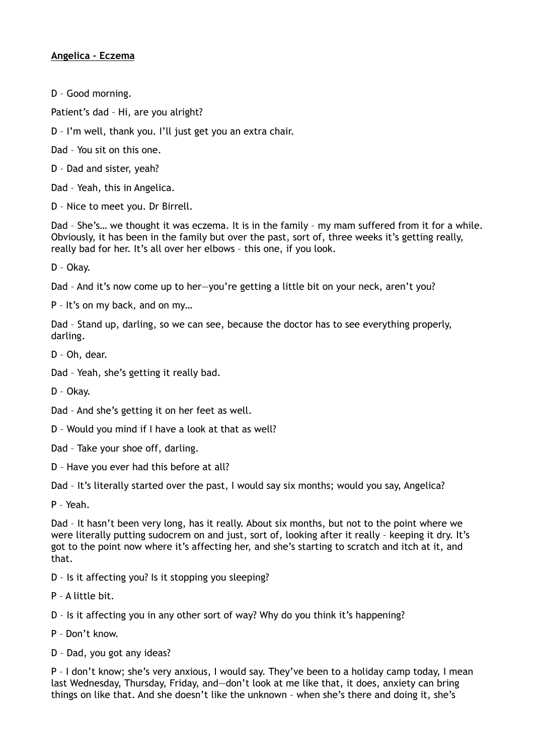## **Angelica – Eczema**

D – Good morning.

Patient's dad – Hi, are you alright?

D – I'm well, thank you. I'll just get you an extra chair.

Dad – You sit on this one.

D – Dad and sister, yeah?

Dad – Yeah, this in Angelica.

D – Nice to meet you. Dr Birrell.

Dad – She's… we thought it was eczema. It is in the family – my mam suffered from it for a while. Obviously, it has been in the family but over the past, sort of, three weeks it's getting really, really bad for her. It's all over her elbows – this one, if you look.

D – Okay.

Dad – And it's now come up to her—you're getting a little bit on your neck, aren't you?

P – It's on my back, and on my…

Dad – Stand up, darling, so we can see, because the doctor has to see everything properly, darling.

D – Oh, dear.

Dad – Yeah, she's getting it really bad.

D – Okay.

Dad – And she's getting it on her feet as well.

- D Would you mind if I have a look at that as well?
- Dad Take your shoe off, darling.
- D Have you ever had this before at all?

Dad – It's literally started over the past, I would say six months; would you say, Angelica?

P – Yeah.

Dad – It hasn't been very long, has it really. About six months, but not to the point where we were literally putting sudocrem on and just, sort of, looking after it really – keeping it dry. It's got to the point now where it's affecting her, and she's starting to scratch and itch at it, and that.

- D Is it affecting you? Is it stopping you sleeping?
- P A little bit.

D – Is it affecting you in any other sort of way? Why do you think it's happening?

- P Don't know.
- D Dad, you got any ideas?

P – I don't know; she's very anxious, I would say. They've been to a holiday camp today, I mean last Wednesday, Thursday, Friday, and—don't look at me like that, it does, anxiety can bring things on like that. And she doesn't like the unknown – when she's there and doing it, she's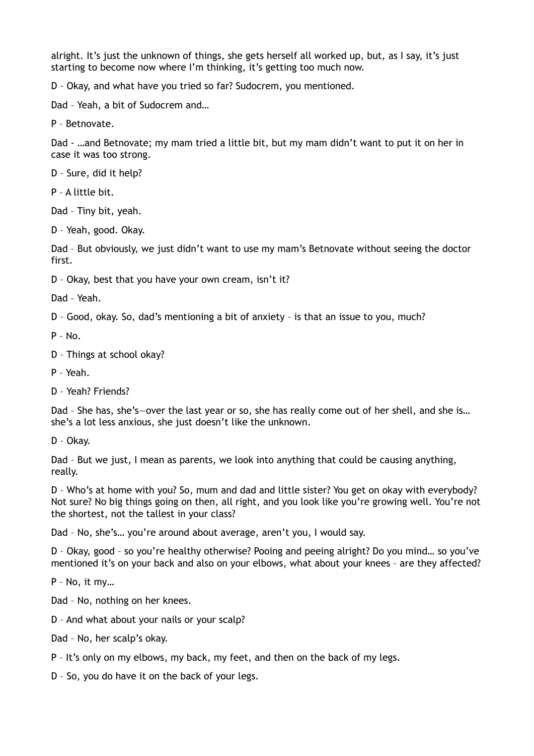alright. It's just the unknown of things, she gets herself all worked up, but, as I say, it's just starting to become now where I'm thinking, it's getting too much now.

D – Okay, and what have you tried so far? Sudocrem, you mentioned.

Dad – Yeah, a bit of Sudocrem and…

P – Betnovate.

Dad - …and Betnovate; my mam tried a little bit, but my mam didn't want to put it on her in case it was too strong.

D – Sure, did it help?

P – A little bit.

Dad – Tiny bit, yeah.

D – Yeah, good. Okay.

Dad – But obviously, we just didn't want to use my mam's Betnovate without seeing the doctor first.

D – Okay, best that you have your own cream, isn't it?

Dad – Yeah.

D – Good, okay. So, dad's mentioning a bit of anxiety – is that an issue to you, much?

P – No.

- D Things at school okay?
- P Yeah.
- D Yeah? Friends?

Dad – She has, she's—over the last year or so, she has really come out of her shell, and she is… she's a lot less anxious, she just doesn't like the unknown.

D – Okay.

Dad – But we just, I mean as parents, we look into anything that could be causing anything, really.

D – Who's at home with you? So, mum and dad and little sister? You get on okay with everybody? Not sure? No big things going on then, all right, and you look like you're growing well. You're not the shortest, not the tallest in your class?

Dad – No, she's… you're around about average, aren't you, I would say.

D – Okay, good – so you're healthy otherwise? Pooing and peeing alright? Do you mind… so you've mentioned it's on your back and also on your elbows, what about your knees – are they affected?

P – No, it my…

Dad – No, nothing on her knees.

- D And what about your nails or your scalp?
- Dad No, her scalp's okay.
- P It's only on my elbows, my back, my feet, and then on the back of my legs.
- D So, you do have it on the back of your legs.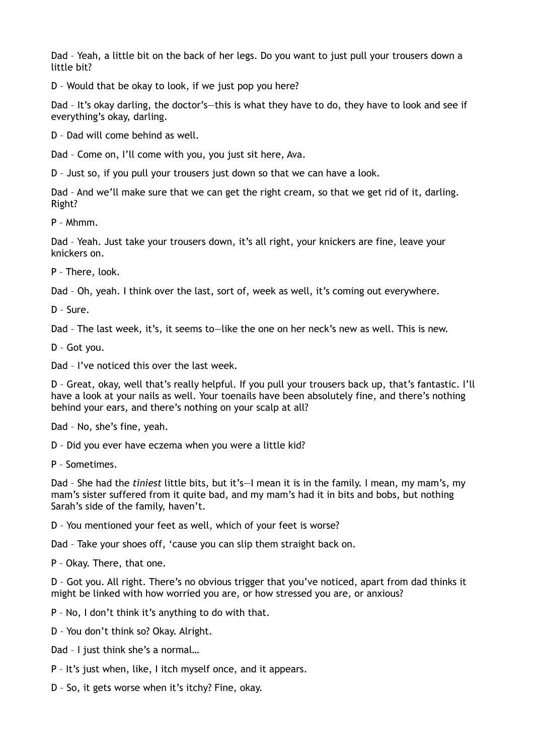Dad – Yeah, a little bit on the back of her legs. Do you want to just pull your trousers down a little bit?

D – Would that be okay to look, if we just pop you here?

Dad – It's okay darling, the doctor's—this is what they have to do, they have to look and see if everything's okay, darling.

D – Dad will come behind as well.

Dad – Come on, I'll come with you, you just sit here, Ava.

D – Just so, if you pull your trousers just down so that we can have a look.

Dad – And we'll make sure that we can get the right cream, so that we get rid of it, darling. Right?

P – Mhmm.

Dad – Yeah. Just take your trousers down, it's all right, your knickers are fine, leave your knickers on.

P – There, look.

Dad – Oh, yeah. I think over the last, sort of, week as well, it's coming out everywhere.

D – Sure.

Dad – The last week, it's, it seems to—like the one on her neck's new as well. This is new.

D – Got you.

Dad – I've noticed this over the last week.

D – Great, okay, well that's really helpful. If you pull your trousers back up, that's fantastic. I'll have a look at your nails as well. Your toenails have been absolutely fine, and there's nothing behind your ears, and there's nothing on your scalp at all?

Dad – No, she's fine, yeah.

D – Did you ever have eczema when you were a little kid?

P – Sometimes.

Dad – She had the *tiniest* little bits, but it's—I mean it is in the family. I mean, my mam's, my mam's sister suffered from it quite bad, and my mam's had it in bits and bobs, but nothing Sarah's side of the family, haven't.

D – You mentioned your feet as well, which of your feet is worse?

Dad – Take your shoes off, 'cause you can slip them straight back on.

P – Okay. There, that one.

D – Got you. All right. There's no obvious trigger that you've noticed, apart from dad thinks it might be linked with how worried you are, or how stressed you are, or anxious?

P – No, I don't think it's anything to do with that.

D – You don't think so? Okay. Alright.

Dad – I just think she's a normal…

P – It's just when, like, I itch myself once, and it appears.

D – So, it gets worse when it's itchy? Fine, okay.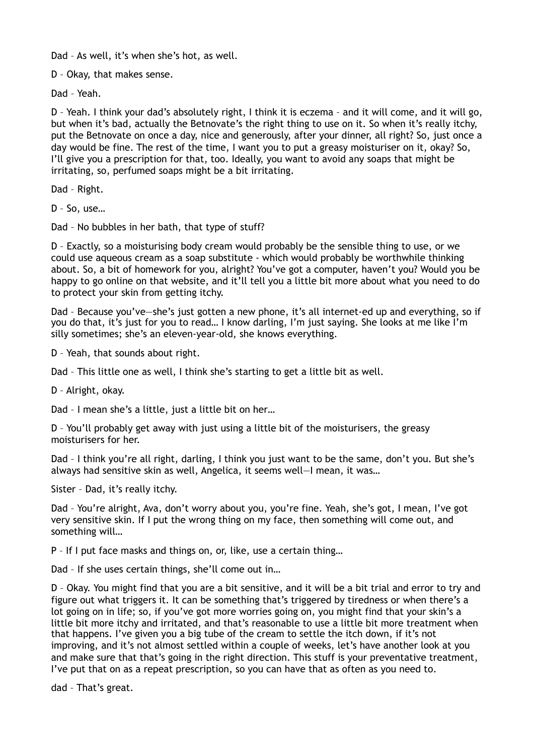Dad – As well, it's when she's hot, as well.

D – Okay, that makes sense.

Dad – Yeah.

D – Yeah. I think your dad's absolutely right, I think it is eczema – and it will come, and it will go, but when it's bad, actually the Betnovate's the right thing to use on it. So when it's really itchy, put the Betnovate on once a day, nice and generously, after your dinner, all right? So, just once a day would be fine. The rest of the time, I want you to put a greasy moisturiser on it, okay? So, I'll give you a prescription for that, too. Ideally, you want to avoid any soaps that might be irritating, so, perfumed soaps might be a bit irritating.

Dad – Right.

D – So, use…

Dad – No bubbles in her bath, that type of stuff?

D – Exactly, so a moisturising body cream would probably be the sensible thing to use, or we could use aqueous cream as a soap substitute - which would probably be worthwhile thinking about. So, a bit of homework for you, alright? You've got a computer, haven't you? Would you be happy to go online on that website, and it'll tell you a little bit more about what you need to do to protect your skin from getting itchy.

Dad – Because you've—she's just gotten a new phone, it's all internet-ed up and everything, so if you do that, it's just for you to read… I know darling, I'm just saying. She looks at me like I'm silly sometimes; she's an eleven-year-old, she knows everything.

D – Yeah, that sounds about right.

Dad – This little one as well, I think she's starting to get a little bit as well.

D – Alright, okay.

Dad - I mean she's a little, just a little bit on her...

D – You'll probably get away with just using a little bit of the moisturisers, the greasy moisturisers for her.

Dad - I think you're all right, darling, I think you just want to be the same, don't you. But she's always had sensitive skin as well, Angelica, it seems well—I mean, it was…

Sister – Dad, it's really itchy.

Dad – You're alright, Ava, don't worry about you, you're fine. Yeah, she's got, I mean, I've got very sensitive skin. If I put the wrong thing on my face, then something will come out, and something will…

P – If I put face masks and things on, or, like, use a certain thing…

Dad – If she uses certain things, she'll come out in…

D – Okay. You might find that you are a bit sensitive, and it will be a bit trial and error to try and figure out what triggers it. It can be something that's triggered by tiredness or when there's a lot going on in life; so, if you've got more worries going on, you might find that your skin's a little bit more itchy and irritated, and that's reasonable to use a little bit more treatment when that happens. I've given you a big tube of the cream to settle the itch down, if it's not improving, and it's not almost settled within a couple of weeks, let's have another look at you and make sure that that's going in the right direction. This stuff is your preventative treatment, I've put that on as a repeat prescription, so you can have that as often as you need to.

dad – That's great.